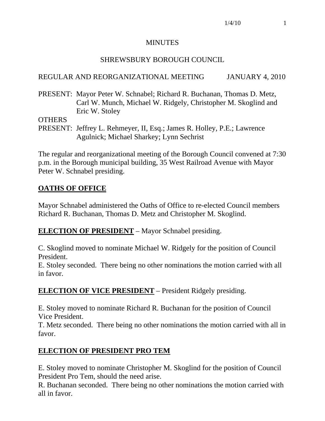#### MINUTES

### SHREWSBURY BOROUGH COUNCIL

# REGULAR AND REORGANIZATIONAL MEETING JANUARY 4, 2010

PRESENT: Mayor Peter W. Schnabel; Richard R. Buchanan, Thomas D. Metz, Carl W. Munch, Michael W. Ridgely, Christopher M. Skoglind and Eric W. Stoley

**OTHERS** 

PRESENT: Jeffrey L. Rehmeyer, II, Esq.; James R. Holley, P.E.; Lawrence Agulnick; Michael Sharkey; Lynn Sechrist

The regular and reorganizational meeting of the Borough Council convened at 7:30 p.m. in the Borough municipal building, 35 West Railroad Avenue with Mayor Peter W. Schnabel presiding.

# **OATHS OF OFFICE**

Mayor Schnabel administered the Oaths of Office to re-elected Council members Richard R. Buchanan, Thomas D. Metz and Christopher M. Skoglind.

# **ELECTION OF PRESIDENT** – Mayor Schnabel presiding.

C. Skoglind moved to nominate Michael W. Ridgely for the position of Council President.

E. Stoley seconded. There being no other nominations the motion carried with all in favor.

# **ELECTION OF VICE PRESIDENT** – President Ridgely presiding.

E. Stoley moved to nominate Richard R. Buchanan for the position of Council Vice President.

T. Metz seconded. There being no other nominations the motion carried with all in favor.

# **ELECTION OF PRESIDENT PRO TEM**

E. Stoley moved to nominate Christopher M. Skoglind for the position of Council President Pro Tem, should the need arise.

R. Buchanan seconded. There being no other nominations the motion carried with all in favor.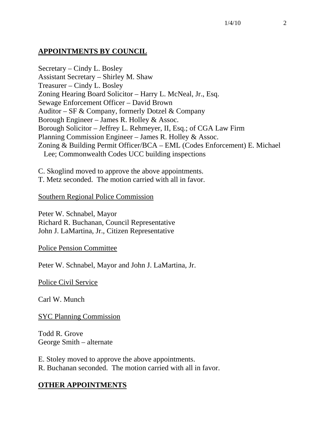### **APPOINTMENTS BY COUNCIL**

Secretary – Cindy L. Bosley Assistant Secretary – Shirley M. Shaw Treasurer – Cindy L. Bosley Zoning Hearing Board Solicitor – Harry L. McNeal, Jr., Esq. Sewage Enforcement Officer – David Brown Auditor – SF & Company, formerly Dotzel & Company Borough Engineer – James R. Holley & Assoc. Borough Solicitor – Jeffrey L. Rehmeyer, II, Esq.; of CGA Law Firm Planning Commission Engineer – James R. Holley & Assoc. Zoning & Building Permit Officer/BCA – EML (Codes Enforcement) E. Michael Lee; Commonwealth Codes UCC building inspections

C. Skoglind moved to approve the above appointments. T. Metz seconded. The motion carried with all in favor.

Southern Regional Police Commission

Peter W. Schnabel, Mayor Richard R. Buchanan, Council Representative John J. LaMartina, Jr., Citizen Representative

Police Pension Committee

Peter W. Schnabel, Mayor and John J. LaMartina, Jr.

Police Civil Service

Carl W. Munch

SYC Planning Commission

Todd R. Grove George Smith – alternate

E. Stoley moved to approve the above appointments. R. Buchanan seconded. The motion carried with all in favor.

# **OTHER APPOINTMENTS**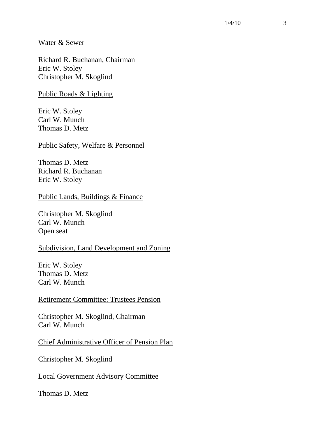#### Water & Sewer

Richard R. Buchanan, Chairman Eric W. Stoley Christopher M. Skoglind

Public Roads & Lighting

Eric W. Stoley Carl W. Munch Thomas D. Metz

#### Public Safety, Welfare & Personnel

Thomas D. Metz Richard R. Buchanan Eric W. Stoley

#### Public Lands, Buildings & Finance

Christopher M. Skoglind Carl W. Munch Open seat

### Subdivision, Land Development and Zoning

Eric W. Stoley Thomas D. Metz Carl W. Munch

#### Retirement Committee: Trustees Pension

Christopher M. Skoglind, Chairman Carl W. Munch

Chief Administrative Officer of Pension Plan

Christopher M. Skoglind

Local Government Advisory Committee

Thomas D. Metz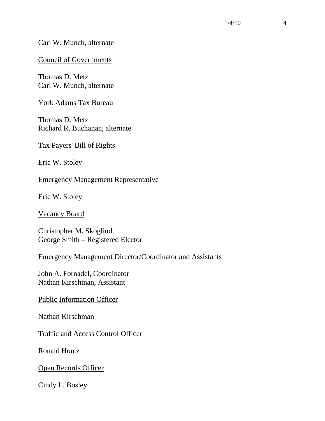#### Carl W. Munch, alternate

#### Council of Governments

Thomas D. Metz Carl W. Munch, alternate

York Adams Tax Bureau

Thomas D. Metz Richard R. Buchanan, alternate

Tax Payers' Bill of Rights

Eric W. Stoley

Emergency Management Representative

Eric W. Stoley

Vacancy Board

Christopher M. Skoglind George Smith – Registered Elector

#### Emergency Management Director/Coordinator and Assistants

John A. Fornadel, Coordinator Nathan Kirschman, Assistant

#### Public Information Officer

Nathan Kirschman

Traffic and Access Control Officer

Ronald Hontz

#### Open Records Officer

Cindy L. Bosley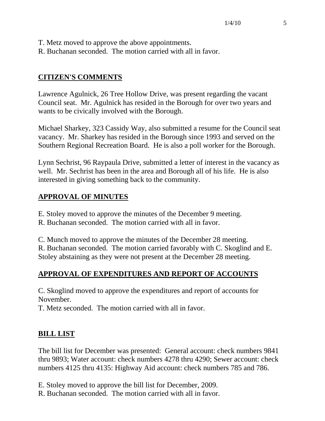- T. Metz moved to approve the above appointments.
- R. Buchanan seconded. The motion carried with all in favor.

# **CITIZEN'S COMMENTS**

Lawrence Agulnick, 26 Tree Hollow Drive, was present regarding the vacant Council seat. Mr. Agulnick has resided in the Borough for over two years and wants to be civically involved with the Borough.

Michael Sharkey, 323 Cassidy Way, also submitted a resume for the Council seat vacancy. Mr. Sharkey has resided in the Borough since 1993 and served on the Southern Regional Recreation Board. He is also a poll worker for the Borough.

Lynn Sechrist, 96 Raypaula Drive, submitted a letter of interest in the vacancy as well. Mr. Sechrist has been in the area and Borough all of his life. He is also interested in giving something back to the community.

# **APPROVAL OF MINUTES**

E. Stoley moved to approve the minutes of the December 9 meeting.

R. Buchanan seconded. The motion carried with all in favor.

C. Munch moved to approve the minutes of the December 28 meeting. R. Buchanan seconded. The motion carried favorably with C. Skoglind and E. Stoley abstaining as they were not present at the December 28 meeting.

# **APPROVAL OF EXPENDITURES AND REPORT OF ACCOUNTS**

C. Skoglind moved to approve the expenditures and report of accounts for November.

T. Metz seconded. The motion carried with all in favor.

# **BILL LIST**

The bill list for December was presented: General account: check numbers 9841 thru 9893; Water account: check numbers 4278 thru 4290; Sewer account: check numbers 4125 thru 4135: Highway Aid account: check numbers 785 and 786.

- E. Stoley moved to approve the bill list for December, 2009.
- R. Buchanan seconded. The motion carried with all in favor.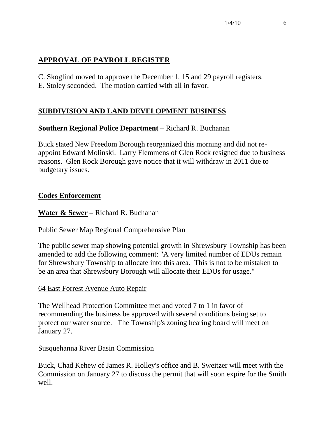# **APPROVAL OF PAYROLL REGISTER**

C. Skoglind moved to approve the December 1, 15 and 29 payroll registers.

E. Stoley seconded. The motion carried with all in favor.

# **SUBDIVISION AND LAND DEVELOPMENT BUSINESS**

# **Southern Regional Police Department** – Richard R. Buchanan

Buck stated New Freedom Borough reorganized this morning and did not reappoint Edward Molinski. Larry Flemmens of Glen Rock resigned due to business reasons. Glen Rock Borough gave notice that it will withdraw in 2011 due to budgetary issues.

### **Codes Enforcement**

**Water & Sewer** – Richard R. Buchanan

# Public Sewer Map Regional Comprehensive Plan

The public sewer map showing potential growth in Shrewsbury Township has been amended to add the following comment: "A very limited number of EDUs remain for Shrewsbury Township to allocate into this area. This is not to be mistaken to be an area that Shrewsbury Borough will allocate their EDUs for usage."

# 64 East Forrest Avenue Auto Repair

The Wellhead Protection Committee met and voted 7 to 1 in favor of recommending the business be approved with several conditions being set to protect our water source. The Township's zoning hearing board will meet on January 27.

# Susquehanna River Basin Commission

Buck, Chad Kehew of James R. Holley's office and B. Sweitzer will meet with the Commission on January 27 to discuss the permit that will soon expire for the Smith well.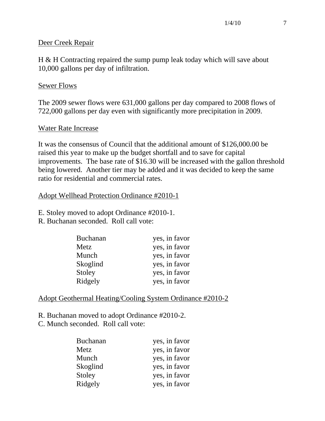### Deer Creek Repair

H & H Contracting repaired the sump pump leak today which will save about 10,000 gallons per day of infiltration.

### Sewer Flows

The 2009 sewer flows were 631,000 gallons per day compared to 2008 flows of 722,000 gallons per day even with significantly more precipitation in 2009.

### Water Rate Increase

It was the consensus of Council that the additional amount of \$126,000.00 be raised this year to make up the budget shortfall and to save for capital improvements. The base rate of \$16.30 will be increased with the gallon threshold being lowered. Another tier may be added and it was decided to keep the same ratio for residential and commercial rates.

### Adopt Wellhead Protection Ordinance #2010-1

E. Stoley moved to adopt Ordinance #2010-1.

R. Buchanan seconded. Roll call vote:

| <b>Buchanan</b> | yes, in favor |
|-----------------|---------------|
| Metz            | yes, in favor |
| Munch           | yes, in favor |
| Skoglind        | yes, in favor |
| Stoley          | yes, in favor |
| Ridgely         | yes, in favor |

### Adopt Geothermal Heating/Cooling System Ordinance #2010-2

R. Buchanan moved to adopt Ordinance #2010-2. C. Munch seconded. Roll call vote:

| <b>Buchanan</b> | yes, in favor |
|-----------------|---------------|
| Metz            | yes, in favor |
| Munch           | yes, in favor |
| Skoglind        | yes, in favor |
| Stoley          | yes, in favor |
| Ridgely         | yes, in favor |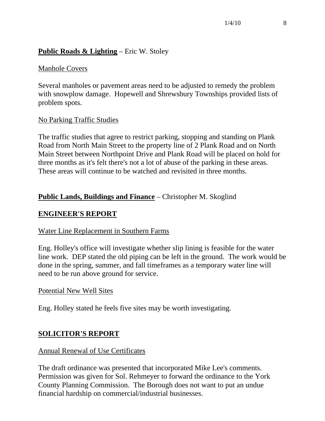# **Public Roads & Lighting** – Eric W. Stoley

### Manhole Covers

Several manholes or pavement areas need to be adjusted to remedy the problem with snowplow damage. Hopewell and Shrewsbury Townships provided lists of problem spots.

# No Parking Traffic Studies

The traffic studies that agree to restrict parking, stopping and standing on Plank Road from North Main Street to the property line of 2 Plank Road and on North Main Street between Northpoint Drive and Plank Road will be placed on hold for three months as it's felt there's not a lot of abuse of the parking in these areas. These areas will continue to be watched and revisited in three months.

# **Public Lands, Buildings and Finance** – Christopher M. Skoglind

# **ENGINEER'S REPORT**

# Water Line Replacement in Southern Farms

Eng. Holley's office will investigate whether slip lining is feasible for the water line work. DEP stated the old piping can be left in the ground. The work would be done in the spring, summer, and fall timeframes as a temporary water line will need to be run above ground for service.

# Potential New Well Sites

Eng. Holley stated he feels five sites may be worth investigating.

# **SOLICITOR'S REPORT**

# Annual Renewal of Use Certificates

The draft ordinance was presented that incorporated Mike Lee's comments. Permission was given for Sol. Rehmeyer to forward the ordinance to the York County Planning Commission. The Borough does not want to put an undue financial hardship on commercial/industrial businesses.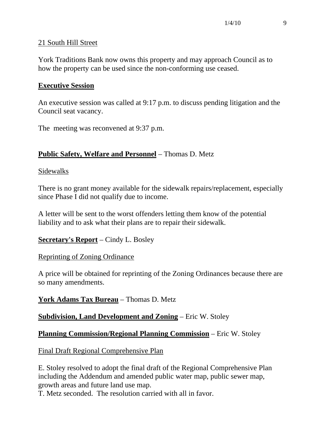### 21 South Hill Street

York Traditions Bank now owns this property and may approach Council as to how the property can be used since the non-conforming use ceased.

# **Executive Session**

An executive session was called at 9:17 p.m. to discuss pending litigation and the Council seat vacancy.

The meeting was reconvened at 9:37 p.m.

# **Public Safety, Welfare and Personnel** – Thomas D. Metz

# Sidewalks

There is no grant money available for the sidewalk repairs/replacement, especially since Phase I did not qualify due to income.

A letter will be sent to the worst offenders letting them know of the potential liability and to ask what their plans are to repair their sidewalk.

# **Secretary's Report** – Cindy L. Bosley

# Reprinting of Zoning Ordinance

A price will be obtained for reprinting of the Zoning Ordinances because there are so many amendments.

# **York Adams Tax Bureau** – Thomas D. Metz

# **Subdivision, Land Development and Zoning** – Eric W. Stoley

# **Planning Commission/Regional Planning Commission** – Eric W. Stoley

# Final Draft Regional Comprehensive Plan

E. Stoley resolved to adopt the final draft of the Regional Comprehensive Plan including the Addendum and amended public water map, public sewer map, growth areas and future land use map.

T. Metz seconded. The resolution carried with all in favor.